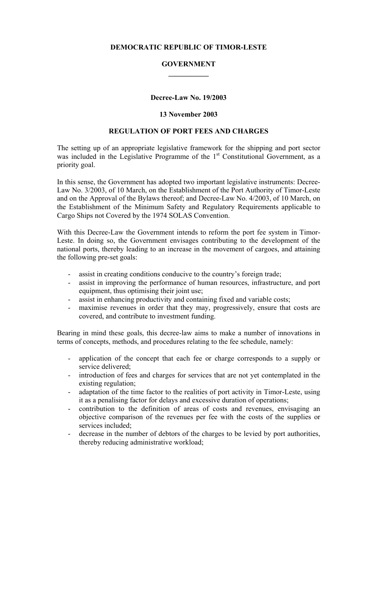## **DEMOCRATIC REPUBLIC OF TIMOR-LESTE**

### **GOVERNMENT \_\_\_\_\_\_\_\_\_\_\_**

#### **Decree-Law No. 19/2003**

#### **13 November 2003**

### **REGULATION OF PORT FEES AND CHARGES**

The setting up of an appropriate legislative framework for the shipping and port sector was included in the Legislative Programme of the  $1<sup>st</sup>$  Constitutional Government, as a priority goal.

In this sense, the Government has adopted two important legislative instruments: Decree-Law No. 3/2003, of 10 March, on the Establishment of the Port Authority of Timor-Leste and on the Approval of the Bylaws thereof; and Decree-Law No. 4/2003, of 10 March, on the Establishment of the Minimum Safety and Regulatory Requirements applicable to Cargo Ships not Covered by the 1974 SOLAS Convention.

With this Decree-Law the Government intends to reform the port fee system in Timor-Leste. In doing so, the Government envisages contributing to the development of the national ports, thereby leading to an increase in the movement of cargoes, and attaining the following pre-set goals:

- assist in creating conditions conducive to the country's foreign trade;
- assist in improving the performance of human resources, infrastructure, and port equipment, thus optimising their joint use;
- assist in enhancing productivity and containing fixed and variable costs;
- maximise revenues in order that they may, progressively, ensure that costs are covered, and contribute to investment funding.

Bearing in mind these goals, this decree-law aims to make a number of innovations in terms of concepts, methods, and procedures relating to the fee schedule, namely:

- application of the concept that each fee or charge corresponds to a supply or service delivered;
- introduction of fees and charges for services that are not yet contemplated in the existing regulation;
- adaptation of the time factor to the realities of port activity in Timor-Leste, using it as a penalising factor for delays and excessive duration of operations;
- contribution to the definition of areas of costs and revenues, envisaging an objective comparison of the revenues per fee with the costs of the supplies or services included;
- decrease in the number of debtors of the charges to be levied by port authorities, thereby reducing administrative workload;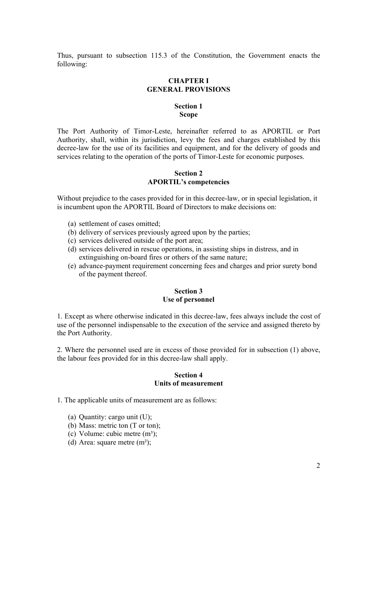Thus, pursuant to subsection 115.3 of the Constitution, the Government enacts the following:

### **CHAPTER I GENERAL PROVISIONS**

#### **Section 1 Scope**

The Port Authority of Timor-Leste, hereinafter referred to as APORTIL or Port Authority, shall, within its jurisdiction, levy the fees and charges established by this decree-law for the use of its facilities and equipment, and for the delivery of goods and services relating to the operation of the ports of Timor-Leste for economic purposes.

#### **Section 2 APORTIL's competencies**

Without prejudice to the cases provided for in this decree-law, or in special legislation, it is incumbent upon the APORTIL Board of Directors to make decisions on:

- (a) settlement of cases omitted;
- (b) delivery of services previously agreed upon by the parties;
- (c) services delivered outside of the port area;
- (d) services delivered in rescue operations, in assisting ships in distress, and in extinguishing on-board fires or others of the same nature;
- (e) advance-payment requirement concerning fees and charges and prior surety bond of the payment thereof.

#### **Section 3 Use of personnel**

1. Except as where otherwise indicated in this decree-law, fees always include the cost of use of the personnel indispensable to the execution of the service and assigned thereto by the Port Authority.

2. Where the personnel used are in excess of those provided for in subsection (1) above, the labour fees provided for in this decree-law shall apply.

# **Section 4 Units of measurement**

- 1. The applicable units of measurement are as follows:
	- (a) Quantity: cargo unit (U);
	- (b) Mass: metric ton (T or ton);
	- (c) Volume: cubic metre  $(m^3)$ ;
	- (d) Area: square metre  $(m<sup>2</sup>)$ ;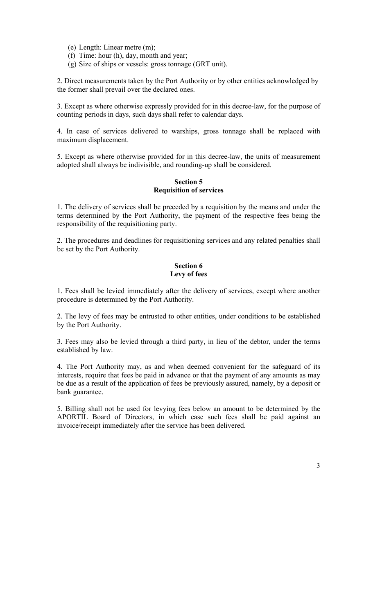- (e) Length: Linear metre (m);
- (f) Time: hour (h), day, month and year;
- (g) Size of ships or vessels: gross tonnage (GRT unit).

2. Direct measurements taken by the Port Authority or by other entities acknowledged by the former shall prevail over the declared ones.

3. Except as where otherwise expressly provided for in this decree-law, for the purpose of counting periods in days, such days shall refer to calendar days.

4. In case of services delivered to warships, gross tonnage shall be replaced with maximum displacement.

5. Except as where otherwise provided for in this decree-law, the units of measurement adopted shall always be indivisible, and rounding-up shall be considered.

# **Section 5 Requisition of services**

1. The delivery of services shall be preceded by a requisition by the means and under the terms determined by the Port Authority, the payment of the respective fees being the responsibility of the requisitioning party.

2. The procedures and deadlines for requisitioning services and any related penalties shall be set by the Port Authority.

# **Section 6 Levy of fees**

1. Fees shall be levied immediately after the delivery of services, except where another procedure is determined by the Port Authority.

2. The levy of fees may be entrusted to other entities, under conditions to be established by the Port Authority.

3. Fees may also be levied through a third party, in lieu of the debtor, under the terms established by law.

4. The Port Authority may, as and when deemed convenient for the safeguard of its interests, require that fees be paid in advance or that the payment of any amounts as may be due as a result of the application of fees be previously assured, namely, by a deposit or bank guarantee.

5. Billing shall not be used for levying fees below an amount to be determined by the APORTIL Board of Directors, in which case such fees shall be paid against an invoice/receipt immediately after the service has been delivered.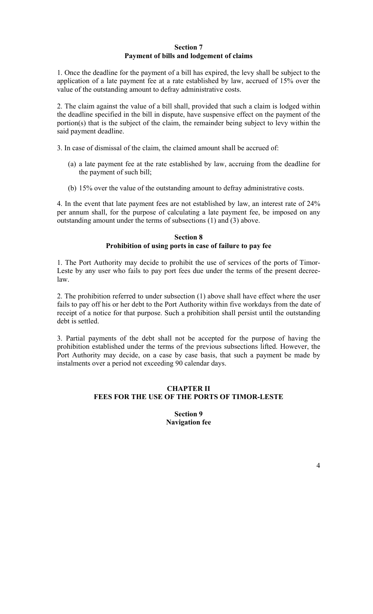## **Section 7 Payment of bills and lodgement of claims**

1. Once the deadline for the payment of a bill has expired, the levy shall be subject to the application of a late payment fee at a rate established by law, accrued of 15% over the value of the outstanding amount to defray administrative costs.

2. The claim against the value of a bill shall, provided that such a claim is lodged within the deadline specified in the bill in dispute, have suspensive effect on the payment of the portion(s) that is the subject of the claim, the remainder being subject to levy within the said payment deadline.

3. In case of dismissal of the claim, the claimed amount shall be accrued of:

- (a) a late payment fee at the rate established by law, accruing from the deadline for the payment of such bill;
- (b) 15% over the value of the outstanding amount to defray administrative costs.

4. In the event that late payment fees are not established by law, an interest rate of 24% per annum shall, for the purpose of calculating a late payment fee, be imposed on any outstanding amount under the terms of subsections (1) and (3) above.

## **Section 8 Prohibition of using ports in case of failure to pay fee**

1. The Port Authority may decide to prohibit the use of services of the ports of Timor-Leste by any user who fails to pay port fees due under the terms of the present decreelaw.

2. The prohibition referred to under subsection (1) above shall have effect where the user fails to pay off his or her debt to the Port Authority within five workdays from the date of receipt of a notice for that purpose. Such a prohibition shall persist until the outstanding debt is settled.

3. Partial payments of the debt shall not be accepted for the purpose of having the prohibition established under the terms of the previous subsections lifted. However, the Port Authority may decide, on a case by case basis, that such a payment be made by instalments over a period not exceeding 90 calendar days.

# **CHAPTER II FEES FOR THE USE OF THE PORTS OF TIMOR-LESTE**

**Section 9 Navigation fee**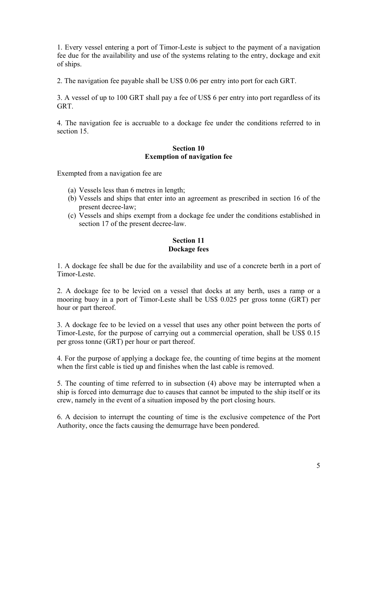1. Every vessel entering a port of Timor-Leste is subject to the payment of a navigation fee due for the availability and use of the systems relating to the entry, dockage and exit of ships.

2. The navigation fee payable shall be US\$ 0.06 per entry into port for each GRT.

3. A vessel of up to 100 GRT shall pay a fee of US\$ 6 per entry into port regardless of its GRT.

4. The navigation fee is accruable to a dockage fee under the conditions referred to in section 15.

# **Section 10 Exemption of navigation fee**

Exempted from a navigation fee are

- (a) Vessels less than 6 metres in length;
- (b) Vessels and ships that enter into an agreement as prescribed in section 16 of the present decree-law;
- (c) Vessels and ships exempt from a dockage fee under the conditions established in section 17 of the present decree-law.

## **Section 11 Dockage fees**

1. A dockage fee shall be due for the availability and use of a concrete berth in a port of Timor-Leste.

2. A dockage fee to be levied on a vessel that docks at any berth, uses a ramp or a mooring buoy in a port of Timor-Leste shall be US\$ 0.025 per gross tonne (GRT) per hour or part thereof.

3. A dockage fee to be levied on a vessel that uses any other point between the ports of Timor-Leste, for the purpose of carrying out a commercial operation, shall be US\$ 0.15 per gross tonne (GRT) per hour or part thereof.

4. For the purpose of applying a dockage fee, the counting of time begins at the moment when the first cable is tied up and finishes when the last cable is removed.

5. The counting of time referred to in subsection (4) above may be interrupted when a ship is forced into demurrage due to causes that cannot be imputed to the ship itself or its crew, namely in the event of a situation imposed by the port closing hours.

6. A decision to interrupt the counting of time is the exclusive competence of the Port Authority, once the facts causing the demurrage have been pondered.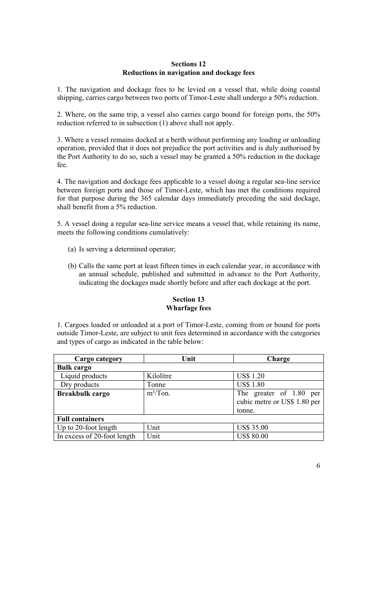# **Sections 12 Reductions in navigation and dockage fees**

1. The navigation and dockage fees to be levied on a vessel that, while doing coastal shipping, carries cargo between two ports of Timor-Leste shall undergo a 50% reduction.

2. Where, on the same trip, a vessel also carries cargo bound for foreign ports, the 50% reduction referred to in subsection (1) above shall not apply.

3. Where a vessel remains docked at a berth without performing any loading or unloading operation, provided that it does not prejudice the port activities and is duly authorised by the Port Authority to do so, such a vessel may be granted a 50% reduction in the dockage fee.

4. The navigation and dockage fees applicable to a vessel doing a regular sea-line service between foreign ports and those of Timor-Leste, which has met the conditions required for that purpose during the 365 calendar days immediately preceding the said dockage, shall benefit from a 5% reduction.

5. A vessel doing a regular sea-line service means a vessel that, while retaining its name, meets the following conditions cumulatively:

- (a) Is serving a determined operator;
- (b) Calls the same port at least fifteen times in each calendar year, in accordance with an annual schedule, published and submitted in advance to the Port Authority, indicating the dockages made shortly before and after each dockage at the port.

### **Section 13 Wharfage fees**

1. Cargoes loaded or unloaded at a port of Timor-Leste, coming from or bound for ports outside Timor-Leste, are subject to unit fees determined in accordance with the categories and types of cargo as indicated in the table below:

| Cargo category              | Unit        | Charge                       |  |  |
|-----------------------------|-------------|------------------------------|--|--|
| <b>Bulk cargo</b>           |             |                              |  |  |
| Liquid products             | Kilolitre   | <b>US\$</b> 1.20             |  |  |
| Dry products                | Tonne       | <b>US\$1.80</b>              |  |  |
| Breakbulk cargo             | $m^3/T$ on. | The greater of 1.80 per      |  |  |
|                             |             | cubic metre or US\$ 1.80 per |  |  |
|                             |             | tonne.                       |  |  |
| <b>Full containers</b>      |             |                              |  |  |
| Up to 20-foot length        | Unit        | <b>US\$ 35.00</b>            |  |  |
| In excess of 20-foot length | Unit        | <b>US\$ 80.00</b>            |  |  |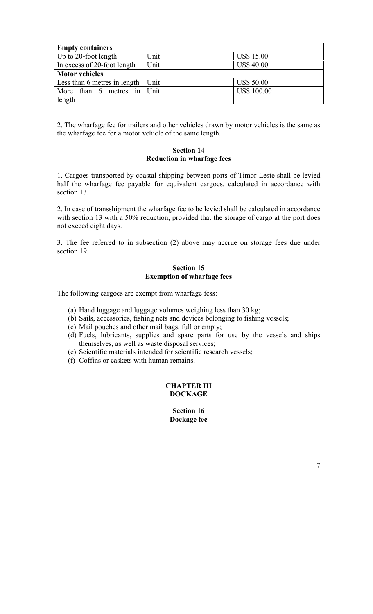| <b>Empty containers</b>              |      |                    |
|--------------------------------------|------|--------------------|
| Up to 20-foot length                 | Unit | <b>US\$ 15.00</b>  |
| In excess of 20-foot length          | Unit | <b>US\$ 40.00</b>  |
| <b>Motor vehicles</b>                |      |                    |
| Less than 6 metres in length $\vert$ | Unit | <b>US\$ 50.00</b>  |
| More than 6 metres in Unit           |      | <b>US\$ 100.00</b> |
| length                               |      |                    |

2. The wharfage fee for trailers and other vehicles drawn by motor vehicles is the same as the wharfage fee for a motor vehicle of the same length.

# **Section 14 Reduction in wharfage fees**

1. Cargoes transported by coastal shipping between ports of Timor-Leste shall be levied half the wharfage fee payable for equivalent cargoes, calculated in accordance with section 13.

2. In case of transshipment the wharfage fee to be levied shall be calculated in accordance with section 13 with a 50% reduction, provided that the storage of cargo at the port does not exceed eight days.

3. The fee referred to in subsection (2) above may accrue on storage fees due under section 19.

# **Section 15 Exemption of wharfage fees**

The following cargoes are exempt from wharfage fess:

- (a) Hand luggage and luggage volumes weighing less than 30 kg;
- (b) Sails, accessories, fishing nets and devices belonging to fishing vessels;
- (c) Mail pouches and other mail bags, full or empty;
- (d) Fuels, lubricants, supplies and spare parts for use by the vessels and ships themselves, as well as waste disposal services;
- (e) Scientific materials intended for scientific research vessels;
- (f) Coffins or caskets with human remains.

### **CHAPTER III DOCKAGE**

**Section 16 Dockage fee**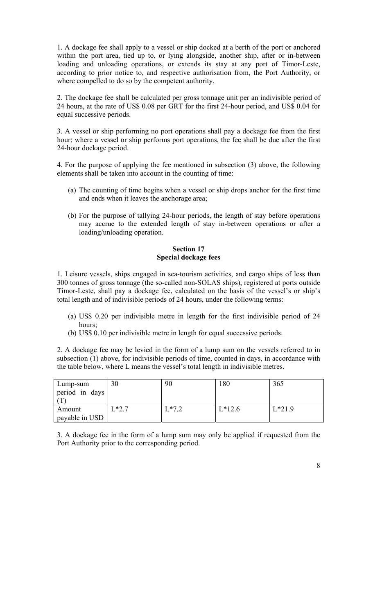1. A dockage fee shall apply to a vessel or ship docked at a berth of the port or anchored within the port area, tied up to, or lying alongside, another ship, after or in-between loading and unloading operations, or extends its stay at any port of Timor-Leste, according to prior notice to, and respective authorisation from, the Port Authority, or where compelled to do so by the competent authority.

2. The dockage fee shall be calculated per gross tonnage unit per an indivisible period of 24 hours, at the rate of US\$ 0.08 per GRT for the first 24-hour period, and US\$ 0.04 for equal successive periods.

3. A vessel or ship performing no port operations shall pay a dockage fee from the first hour; where a vessel or ship performs port operations, the fee shall be due after the first 24-hour dockage period.

4. For the purpose of applying the fee mentioned in subsection (3) above, the following elements shall be taken into account in the counting of time:

- (a) The counting of time begins when a vessel or ship drops anchor for the first time and ends when it leaves the anchorage area;
- (b) For the purpose of tallying 24-hour periods, the length of stay before operations may accrue to the extended length of stay in-between operations or after a loading/unloading operation.

# **Section 17 Special dockage fees**

1. Leisure vessels, ships engaged in sea-tourism activities, and cargo ships of less than 300 tonnes of gross tonnage (the so-called non-SOLAS ships), registered at ports outside Timor-Leste, shall pay a dockage fee, calculated on the basis of the vessel's or ship's total length and of indivisible periods of 24 hours, under the following terms:

- (a) US\$ 0.20 per indivisible metre in length for the first indivisible period of 24 hours;
- (b) US\$ 0.10 per indivisible metre in length for equal successive periods.

2. A dockage fee may be levied in the form of a lump sum on the vessels referred to in subsection (1) above, for indivisible periods of time, counted in days, in accordance with the table below, where L means the vessel's total length in indivisible metres.

| Lump-sum<br>period in days | 30     | 90     | 180      | 365      |
|----------------------------|--------|--------|----------|----------|
| Amount<br>payable in USD   | $-2.7$ | $1*72$ | $L*12.6$ | $L*21.9$ |

3. A dockage fee in the form of a lump sum may only be applied if requested from the Port Authority prior to the corresponding period.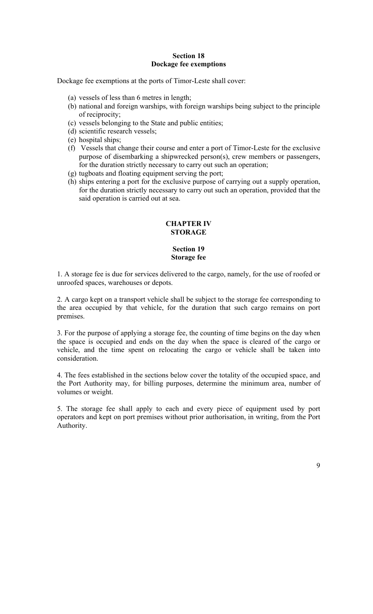# **Section 18 Dockage fee exemptions**

Dockage fee exemptions at the ports of Timor-Leste shall cover:

- (a) vessels of less than 6 metres in length;
- (b) national and foreign warships, with foreign warships being subject to the principle of reciprocity;
- (c) vessels belonging to the State and public entities;
- (d) scientific research vessels;
- (e) hospital ships;
- (f) Vessels that change their course and enter a port of Timor-Leste for the exclusive purpose of disembarking a shipwrecked person(s), crew members or passengers, for the duration strictly necessary to carry out such an operation;
- (g) tugboats and floating equipment serving the port;
- (h) ships entering a port for the exclusive purpose of carrying out a supply operation, for the duration strictly necessary to carry out such an operation, provided that the said operation is carried out at sea.

# **CHAPTER IV STORAGE**

# **Section 19 Storage fee**

1. A storage fee is due for services delivered to the cargo, namely, for the use of roofed or unroofed spaces, warehouses or depots.

2. A cargo kept on a transport vehicle shall be subject to the storage fee corresponding to the area occupied by that vehicle, for the duration that such cargo remains on port premises.

3. For the purpose of applying a storage fee, the counting of time begins on the day when the space is occupied and ends on the day when the space is cleared of the cargo or vehicle, and the time spent on relocating the cargo or vehicle shall be taken into consideration.

4. The fees established in the sections below cover the totality of the occupied space, and the Port Authority may, for billing purposes, determine the minimum area, number of volumes or weight.

5. The storage fee shall apply to each and every piece of equipment used by port operators and kept on port premises without prior authorisation, in writing, from the Port Authority.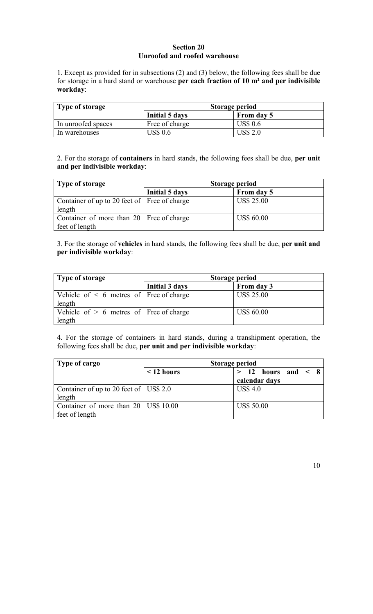# **Section 20 Unroofed and roofed warehouse**

1. Except as provided for in subsections (2) and (3) below, the following fees shall be due for storage in a hard stand or warehouse **per each fraction of 10 m² and per indivisible workday**:

| Type of storage    | Storage period  |                 |
|--------------------|-----------------|-----------------|
|                    | Initial 5 days  | From day 5      |
| In unroofed spaces | Free of charge  | <b>US\$ 0.6</b> |
| In warehouses      | <b>JS\$ 0.6</b> | US\$ 2.0        |

2. For the storage of **containers** in hard stands, the following fees shall be due, **per unit and per indivisible workday**:

| <b>Type of storage</b>                                       | Storage period |                   |  |
|--------------------------------------------------------------|----------------|-------------------|--|
|                                                              | Initial 5 days | From day 5        |  |
| Container of up to 20 feet of Free of charge<br>length       |                | <b>US\$ 25.00</b> |  |
| Container of more than $20$ Free of charge<br>feet of length |                | <b>US\$ 60.00</b> |  |

3. For the storage of **vehicles** in hard stands, the following fees shall be due, **per unit and per indivisible workday**:

| Type of storage                                        | Storage period |                   |  |
|--------------------------------------------------------|----------------|-------------------|--|
|                                                        | Initial 3 days | From day 3        |  |
| Vehicle of $\leq 6$ metres of Free of charge<br>length |                | <b>US\$ 25.00</b> |  |
| Vehicle of $> 6$ metres of Free of charge<br>length    |                | <b>US\$ 60.00</b> |  |

4. For the storage of containers in hard stands, during a transhipment operation, the following fees shall be due, **per unit and per indivisible workday**:

| Type of cargo                                  | Storage period |                        |  |
|------------------------------------------------|----------------|------------------------|--|
|                                                | $<$ 12 hours   | $> 12$ hours and $< 8$ |  |
|                                                |                | calendar days          |  |
| Container of up to 20 feet of $\vert$ US\$ 2.0 |                | <b>US\$4.0</b>         |  |
| length                                         |                |                        |  |
| Container of more than $20$ US\$ 10.00         |                | <b>US\$ 50.00</b>      |  |
| feet of length                                 |                |                        |  |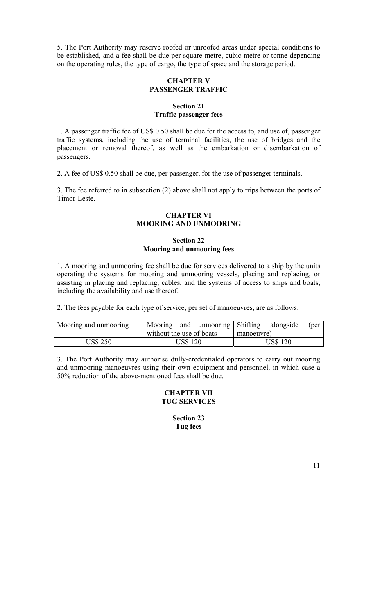5. The Port Authority may reserve roofed or unroofed areas under special conditions to be established, and a fee shall be due per square metre, cubic metre or tonne depending on the operating rules, the type of cargo, the type of space and the storage period.

# **CHAPTER V PASSENGER TRAFFIC**

### **Section 21 Traffic passenger fees**

1. A passenger traffic fee of US\$ 0.50 shall be due for the access to, and use of, passenger traffic systems, including the use of terminal facilities, the use of bridges and the placement or removal thereof, as well as the embarkation or disembarkation of passengers.

2. A fee of US\$ 0.50 shall be due, per passenger, for the use of passenger terminals.

3. The fee referred to in subsection (2) above shall not apply to trips between the ports of Timor-Leste.

# **CHAPTER VI MOORING AND UNMOORING**

### **Section 22 Mooring and unmooring fees**

1. A mooring and unmooring fee shall be due for services delivered to a ship by the units operating the systems for mooring and unmooring vessels, placing and replacing, or assisting in placing and replacing, cables, and the systems of access to ships and boats, including the availability and use thereof.

2. The fees payable for each type of service, per set of manoeuvres, are as follows:

| Mooring and unmooring | Mooring                  |  | and unmooring Shifting alongside |                 |  | (per |
|-----------------------|--------------------------|--|----------------------------------|-----------------|--|------|
|                       | without the use of boats |  | manoeuvre)                       |                 |  |      |
| US\$ 250              | <b>US\$ 120</b>          |  |                                  | <b>US\$ 120</b> |  |      |

3. The Port Authority may authorise dully-credentialed operators to carry out mooring and unmooring manoeuvres using their own equipment and personnel, in which case a 50% reduction of the above-mentioned fees shall be due.

# **CHAPTER VII TUG SERVICES**

**Section 23 Tug fees**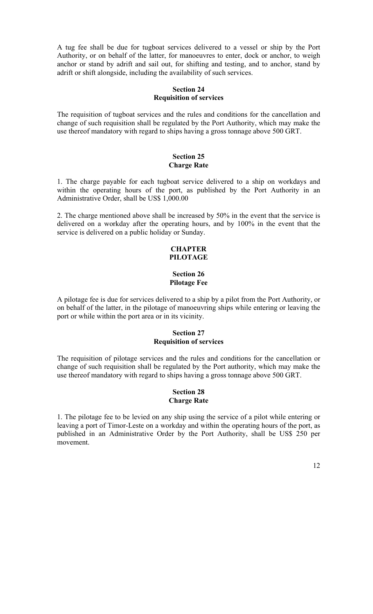A tug fee shall be due for tugboat services delivered to a vessel or ship by the Port Authority, or on behalf of the latter, for manoeuvres to enter, dock or anchor, to weigh anchor or stand by adrift and sail out, for shifting and testing, and to anchor, stand by adrift or shift alongside, including the availability of such services.

## **Section 24 Requisition of services**

The requisition of tugboat services and the rules and conditions for the cancellation and change of such requisition shall be regulated by the Port Authority, which may make the use thereof mandatory with regard to ships having a gross tonnage above 500 GRT.

# **Section 25 Charge Rate**

1. The charge payable for each tugboat service delivered to a ship on workdays and within the operating hours of the port, as published by the Port Authority in an Administrative Order, shall be US\$ 1,000.00

2. The charge mentioned above shall be increased by 50% in the event that the service is delivered on a workday after the operating hours, and by 100% in the event that the service is delivered on a public holiday or Sunday.

# **CHAPTER PILOTAGE**

### **Section 26 Pilotage Fee**

A pilotage fee is due for services delivered to a ship by a pilot from the Port Authority, or on behalf of the latter, in the pilotage of manoeuvring ships while entering or leaving the port or while within the port area or in its vicinity.

# **Section 27 Requisition of services**

The requisition of pilotage services and the rules and conditions for the cancellation or change of such requisition shall be regulated by the Port authority, which may make the use thereof mandatory with regard to ships having a gross tonnage above 500 GRT.

# **Section 28 Charge Rate**

1. The pilotage fee to be levied on any ship using the service of a pilot while entering or leaving a port of Timor-Leste on a workday and within the operating hours of the port, as published in an Administrative Order by the Port Authority, shall be US\$ 250 per movement.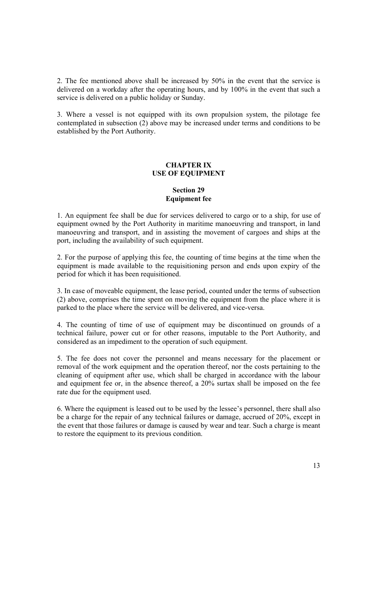2. The fee mentioned above shall be increased by 50% in the event that the service is delivered on a workday after the operating hours, and by 100% in the event that such a service is delivered on a public holiday or Sunday.

3. Where a vessel is not equipped with its own propulsion system, the pilotage fee contemplated in subsection (2) above may be increased under terms and conditions to be established by the Port Authority.

#### **CHAPTER IX USE OF EQUIPMENT**

## **Section 29 Equipment fee**

1. An equipment fee shall be due for services delivered to cargo or to a ship, for use of equipment owned by the Port Authority in maritime manoeuvring and transport, in land manoeuvring and transport, and in assisting the movement of cargoes and ships at the port, including the availability of such equipment.

2. For the purpose of applying this fee, the counting of time begins at the time when the equipment is made available to the requisitioning person and ends upon expiry of the period for which it has been requisitioned.

3. In case of moveable equipment, the lease period, counted under the terms of subsection (2) above, comprises the time spent on moving the equipment from the place where it is parked to the place where the service will be delivered, and vice-versa.

4. The counting of time of use of equipment may be discontinued on grounds of a technical failure, power cut or for other reasons, imputable to the Port Authority, and considered as an impediment to the operation of such equipment.

5. The fee does not cover the personnel and means necessary for the placement or removal of the work equipment and the operation thereof, nor the costs pertaining to the cleaning of equipment after use, which shall be charged in accordance with the labour and equipment fee or, in the absence thereof, a 20% surtax shall be imposed on the fee rate due for the equipment used.

6. Where the equipment is leased out to be used by the lessee's personnel, there shall also be a charge for the repair of any technical failures or damage, accrued of 20%, except in the event that those failures or damage is caused by wear and tear. Such a charge is meant to restore the equipment to its previous condition.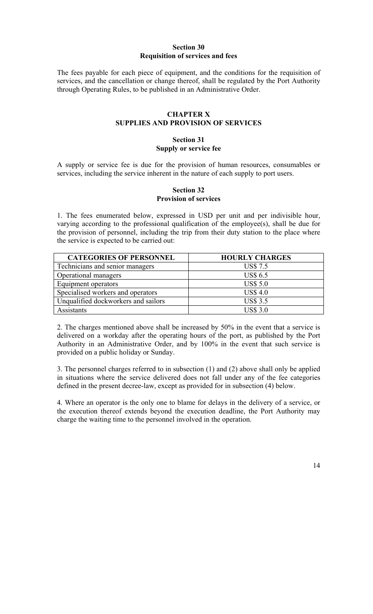#### **Section 30 Requisition of services and fees**

The fees payable for each piece of equipment, and the conditions for the requisition of services, and the cancellation or change thereof, shall be regulated by the Port Authority through Operating Rules, to be published in an Administrative Order.

# **CHAPTER X SUPPLIES AND PROVISION OF SERVICES**

# **Section 31 Supply or service fee**

A supply or service fee is due for the provision of human resources, consumables or services, including the service inherent in the nature of each supply to port users.

### **Section 32 Provision of services**

1. The fees enumerated below, expressed in USD per unit and per indivisible hour, varying according to the professional qualification of the employee(s), shall be due for the provision of personnel, including the trip from their duty station to the place where the service is expected to be carried out:

| <b>CATEGORIES OF PERSONNEL</b>      | <b>HOURLY CHARGES</b> |
|-------------------------------------|-----------------------|
| Technicians and senior managers     | <b>US\$7.5</b>        |
| Operational managers                | <b>US\$ 6.5</b>       |
| Equipment operators                 | <b>US\$ 5.0</b>       |
| Specialised workers and operators   | <b>US\$ 4.0</b>       |
| Unqualified dockworkers and sailors | <b>US\$ 3.5</b>       |
| Assistants                          | <b>US\$ 3.0</b>       |

2. The charges mentioned above shall be increased by 50% in the event that a service is delivered on a workday after the operating hours of the port, as published by the Port Authority in an Administrative Order, and by 100% in the event that such service is provided on a public holiday or Sunday.

3. The personnel charges referred to in subsection (1) and (2) above shall only be applied in situations where the service delivered does not fall under any of the fee categories defined in the present decree-law, except as provided for in subsection (4) below.

4. Where an operator is the only one to blame for delays in the delivery of a service, or the execution thereof extends beyond the execution deadline, the Port Authority may charge the waiting time to the personnel involved in the operation.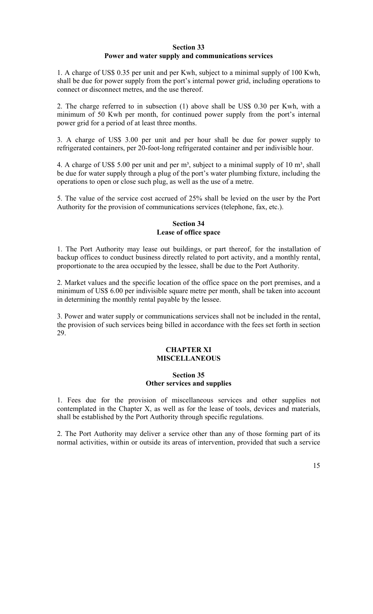### **Section 33 Power and water supply and communications services**

1. A charge of US\$ 0.35 per unit and per Kwh, subject to a minimal supply of 100 Kwh, shall be due for power supply from the port's internal power grid, including operations to connect or disconnect metres, and the use thereof.

2. The charge referred to in subsection (1) above shall be US\$ 0.30 per Kwh, with a minimum of 50 Kwh per month, for continued power supply from the port's internal power grid for a period of at least three months.

3. A charge of US\$ 3.00 per unit and per hour shall be due for power supply to refrigerated containers, per 20-foot-long refrigerated container and per indivisible hour.

4. A charge of US\$ 5.00 per unit and per  $m^3$ , subject to a minimal supply of 10  $m^3$ , shall be due for water supply through a plug of the port's water plumbing fixture, including the operations to open or close such plug, as well as the use of a metre.

5. The value of the service cost accrued of 25% shall be levied on the user by the Port Authority for the provision of communications services (telephone, fax, etc.).

# **Section 34 Lease of office space**

1. The Port Authority may lease out buildings, or part thereof, for the installation of backup offices to conduct business directly related to port activity, and a monthly rental, proportionate to the area occupied by the lessee, shall be due to the Port Authority.

2. Market values and the specific location of the office space on the port premises, and a minimum of US\$ 6.00 per indivisible square metre per month, shall be taken into account in determining the monthly rental payable by the lessee.

3. Power and water supply or communications services shall not be included in the rental, the provision of such services being billed in accordance with the fees set forth in section 29.

#### **CHAPTER XI MISCELLANEOUS**

# **Section 35 Other services and supplies**

1. Fees due for the provision of miscellaneous services and other supplies not contemplated in the Chapter X, as well as for the lease of tools, devices and materials, shall be established by the Port Authority through specific regulations.

2. The Port Authority may deliver a service other than any of those forming part of its normal activities, within or outside its areas of intervention, provided that such a service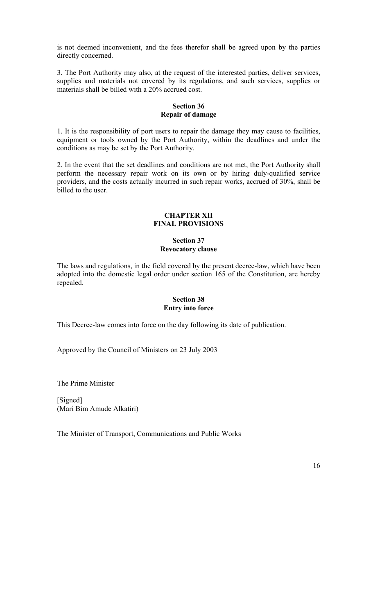is not deemed inconvenient, and the fees therefor shall be agreed upon by the parties directly concerned.

3. The Port Authority may also, at the request of the interested parties, deliver services, supplies and materials not covered by its regulations, and such services, supplies or materials shall be billed with a 20% accrued cost.

#### **Section 36 Repair of damage**

1. It is the responsibility of port users to repair the damage they may cause to facilities, equipment or tools owned by the Port Authority, within the deadlines and under the conditions as may be set by the Port Authority.

2. In the event that the set deadlines and conditions are not met, the Port Authority shall perform the necessary repair work on its own or by hiring duly-qualified service providers, and the costs actually incurred in such repair works, accrued of 30%, shall be billed to the user.

# **CHAPTER XII FINAL PROVISIONS**

# **Section 37 Revocatory clause**

The laws and regulations, in the field covered by the present decree-law, which have been adopted into the domestic legal order under section 165 of the Constitution, are hereby repealed.

# **Section 38 Entry into force**

This Decree-law comes into force on the day following its date of publication.

Approved by the Council of Ministers on 23 July 2003

The Prime Minister

[Signed] (Mari Bim Amude Alkatiri)

The Minister of Transport, Communications and Public Works